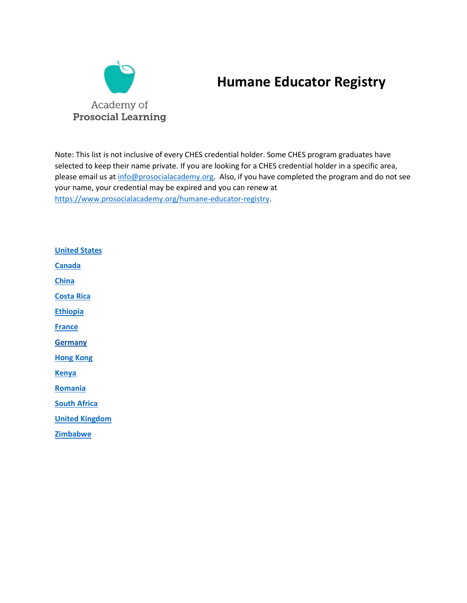

# **Humane Educator Registry**

Note: This list is not inclusive of every CHES credential holder. Some CHES program graduates have selected to keep their name private. If you are looking for a CHES credential holder in a specific area, please email us a[t info@prosocialacademy.org.](mailto:info@prosocialacademy.org) Also, if you have completed the program and do not see your name, your credential may be expired and you can renew at [https://www.prosocialacademy.org/humane-educator-registry.](https://www.prosocialacademy.org/humane-educator-registry)

<span id="page-0-2"></span><span id="page-0-1"></span><span id="page-0-0"></span>**[United States](#page-0-0) [Canada](#page-4-0) [China](#page-0-1) [Costa Rica](#page-4-1) [Ethiopia](#page-0-0) [France](#page-4-2) [Germany](#page-4-2) [Hong Kong](#page-4-2) [Kenya](#page-0-2) [Romania](#page-4-3) [South Africa](#page-4-4) [United Kingdom](#page-4-4) [Zimbabwe](#page-5-0)**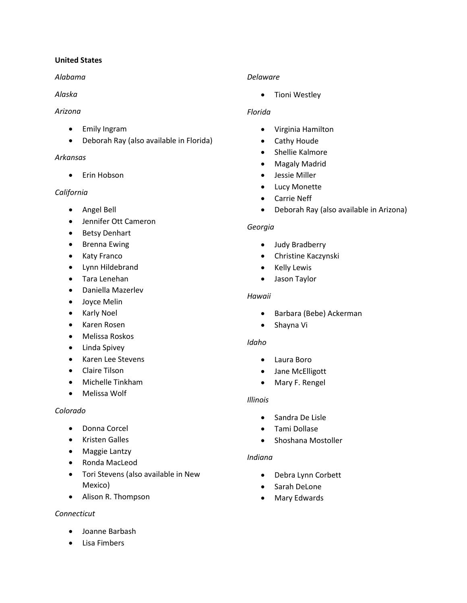## **United States**

## *Alabama*

## *Alaska*

## *Arizona*

- Emily Ingram
- Deborah Ray (also available in Florida)

## *Arkansas*

• Erin Hobson

# *California*

- Angel Bell
- Jennifer Ott Cameron
- Betsy Denhart
- Brenna Ewing
- Katy Franco
- Lynn Hildebrand
- Tara Lenehan
- Daniella Mazerlev
- Joyce Melin
- Karly Noel
- Karen Rosen
- Melissa Roskos
- Linda Spivey
- Karen Lee Stevens
- Claire Tilson
- Michelle Tinkham
- Melissa Wolf

## *Colorado*

- Donna Corcel
- Kristen Galles
- Maggie Lantzy
- Ronda MacLeod
- Tori Stevens (also available in New Mexico)
- Alison R. Thompson

## *Connecticut*

- Joanne Barbash
- Lisa Fimbers

# *Delaware*

• Tioni Westley

# *Florida*

- Virginia Hamilton
- Cathy Houde
- Shellie Kalmore
- Magaly Madrid
- Jessie Miller
- Lucy Monette
- Carrie Neff
- Deborah Ray (also available in Arizona)

## *Georgia*

- Judy Bradberry
- Christine Kaczynski
- Kelly Lewis
- Jason Taylor

## *Hawaii*

- Barbara (Bebe) Ackerman
- Shayna Vi

## *Idaho*

- Laura Boro
- Jane McElligott
- Mary F. Rengel

## *Illinois*

- Sandra De Lisle
- Tami Dollase
- Shoshana Mostoller

## *Indiana*

- Debra Lynn Corbett
- Sarah DeLone
- Mary Edwards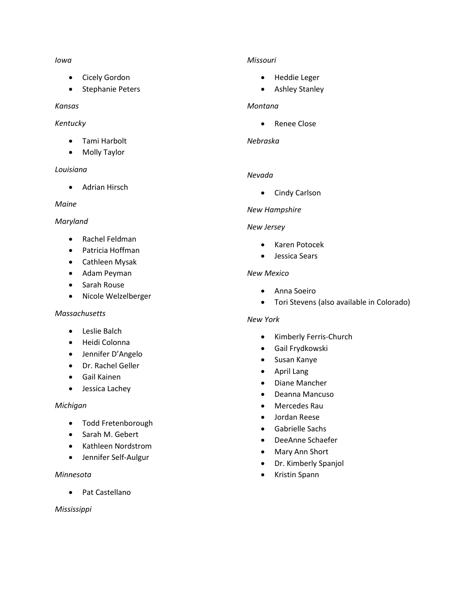#### *Iowa*

- Cicely Gordon
- Stephanie Peters

## *Kansas*

## *Kentucky*

- Tami Harbolt
- Molly Taylor

## *Louisiana*

• Adrian Hirsch

## *Maine*

## *Maryland*

- Rachel Feldman
- Patricia Hoffman
- Cathleen Mysak
- Adam Peyman
- Sarah Rouse
- Nicole Welzelberger

### *Massachusetts*

- Leslie Balch
- Heidi Colonna
- Jennifer D'Angelo
- Dr. Rachel Geller
- Gail Kainen
- Jessica Lachey

### *Michigan*

- Todd Fretenborough
- Sarah M. Gebert
- Kathleen Nordstrom
- Jennifer Self-Aulgur

### *Minnesota*

• Pat Castellano

### *Mississippi*

## *Missouri*

- Heddie Leger
- Ashley Stanley

### *Montana*

• Renee Close

#### *Nebraska*

### *Nevada*

• Cindy Carlson

## *New Hampshire*

### *New Jersey*

- Karen Potocek
- Jessica Sears

### *New Mexico*

- Anna Soeiro
- Tori Stevens (also available in Colorado)

### *New York*

- Kimberly Ferris-Church
- Gail Frydkowski
- Susan Kanye
- April Lang
- Diane Mancher
- Deanna Mancuso
- Mercedes Rau
- Jordan Reese
- Gabrielle Sachs
- DeeAnne Schaefer
- Mary Ann Short
- Dr. Kimberly Spanjol
- Kristin Spann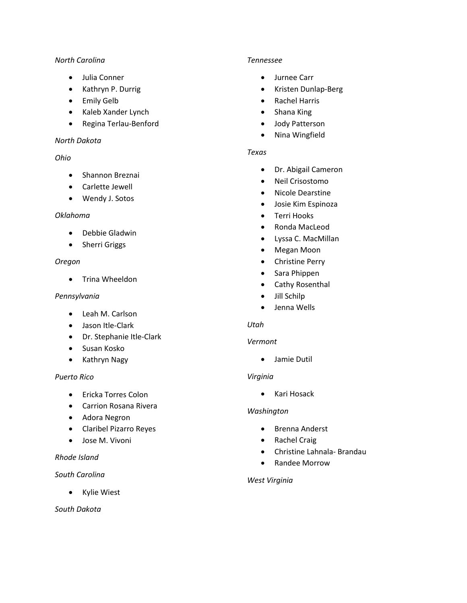## *North Carolina*

- Julia Conner
- Kathryn P. Durrig
- Emily Gelb
- Kaleb Xander Lynch
- Regina Terlau-Benford

## *North Dakota*

## *Ohio*

- Shannon Breznai
- Carlette Jewell
- Wendy J. Sotos

## *Oklahoma*

- Debbie Gladwin
- Sherri Griggs

## *Oregon*

• Trina Wheeldon

## *Pennsylvania*

- Leah M. Carlson
- Jason Itle-Clark
- Dr. Stephanie Itle-Clark
- Susan Kosko
- Kathryn Nagy

## *Puerto Rico*

- Ericka Torres Colon
- Carrion Rosana Rivera
- Adora Negron
- Claribel Pizarro Reyes
- Jose M. Vivoni

## *Rhode Island*

## *South Carolina*

• Kylie Wiest

## *South Dakota*

## *Tennessee*

- Jurnee Carr
- Kristen Dunlap-Berg
- Rachel Harris
- Shana King
- Jody Patterson
- Nina Wingfield

## *Texas*

- Dr. Abigail Cameron
- Neil Crisostomo
- Nicole Dearstine
- Josie Kim Espinoza
- Terri Hooks
- Ronda MacLeod
- Lyssa C. MacMillan
- Megan Moon
- Christine Perry
- Sara Phippen
- Cathy Rosenthal
- Jill Schilp
- Jenna Wells

## *Utah*

### *Vermont*

• Jamie Dutil

### *Virginia*

• Kari Hosack

## *Washington*

- Brenna Anderst
- Rachel Craig
- Christine Lahnala- Brandau
- Randee Morrow

### *West Virginia*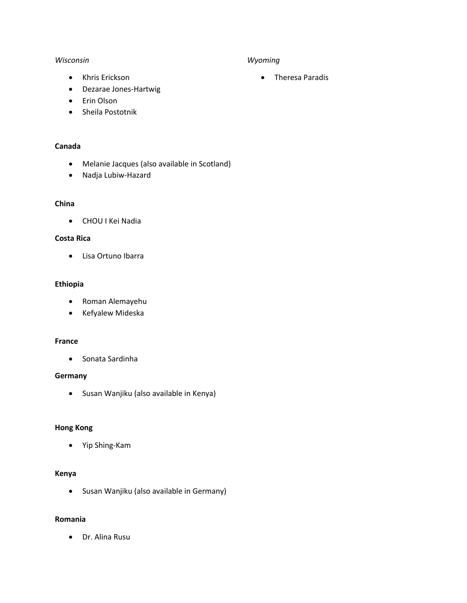#### *Wisconsin*

#### *Wyoming*

• Theresa Paradis

- Khris Erickson
- Dezarae Jones-Hartwig
- Erin Olson
- Sheila Postotnik

## <span id="page-4-0"></span>**Canada**

- Melanie Jacques (also available in Scotland)
- Nadja Lubiw-Hazard

### <span id="page-4-1"></span>**China**

• CHOU I Kei Nadia

## **Costa Rica**

• Lisa Ortuno Ibarra

### **Ethiopia**

- Roman Alemayehu
- Kefyalew Mideska

#### <span id="page-4-2"></span>**France**

• Sonata Sardinha

#### **Germany**

• Susan Wanjiku (also available in Kenya)

#### **Hong Kong**

• Yip Shing-Kam

## **Kenya**

<span id="page-4-4"></span>• Susan Wanjiku (also available in Germany)

#### <span id="page-4-3"></span>**Romania**

• Dr. Alina Rusu